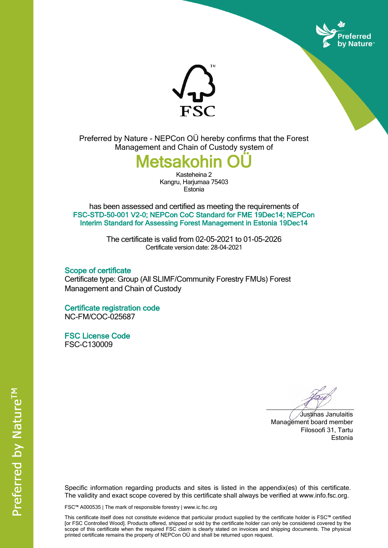



Preferred by Nature - NEPCon OÜ hereby confirms that the Forest Management and Chain of Custody system of



Kasteheina 2 Kangru, Harjumaa 75403 **Estonia** 

has been assessed and certified as meeting the requirements of **FSC-STD-50-001 V2-0; NEPCon CoC Standard for FME 19Dec14; NEPCon Interim Standard for Assessing Forest Management in Estonia 19Dec14**

> The certificate is valid from 02-05-2021 to 01-05-2026 Certificate version date: 28-04-2021

**Scope of certificate** Certificate type: Group (All SLIMF/Community Forestry FMUs) Forest Management and Chain of Custody

**Certificate registration code** NC-FM/COC-025687

**FSC License Code** FSC-C130009

Justinas Janulaitis Management board member Filosoofi 31, Tartu Estonia

Specific information regarding products and sites is listed in the appendix(es) of this certificate. The validity and exact scope covered by this certificate shall always be verified at www.info.fsc.org.

FSC™ A000535 | The mark of responsible forestry | www.ic.fsc.org

This certificate itself does not constitute evidence that particular product supplied by the certificate holder is FSC™ certified [or FSC Controlled Wood]. Products offered, shipped or sold by the certificate holder can only be considered covered by the scope of this certificate when the required FSC claim is clearly stated on invoices and shipping documents. The physical printed certificate remains the property of NEPCon OÜ and shall be returned upon request.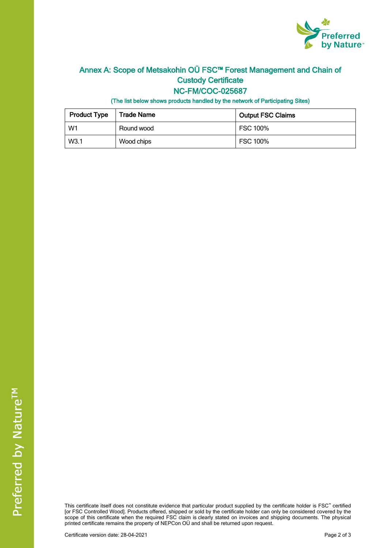

## **Annex A: Scope of Metsakohin OÜ FSC™ Forest Management and Chain of Custody Certificate**

## **NC-FM/COC-025687**

**(The list below shows products handled by the network of Participating Sites)**

| <b>Product Type</b> | Trade Name | <b>Output FSC Claims</b> |  |
|---------------------|------------|--------------------------|--|
| W1                  | Round wood | FSC 100%                 |  |
| W3.1                | Wood chips | FSC 100%                 |  |

This certificate itself does not constitute evidence that particular product supplied by the certificate holder is FSC™ certified [or FSC Controlled Wood]. Products offered, shipped or sold by the certificate holder can only be considered covered by the scope of this certificate when the required FSC claim is clearly stated on invoices and shipping documents. The physical printed certificate remains the property of NEPCon OÜ and shall be returned upon request.